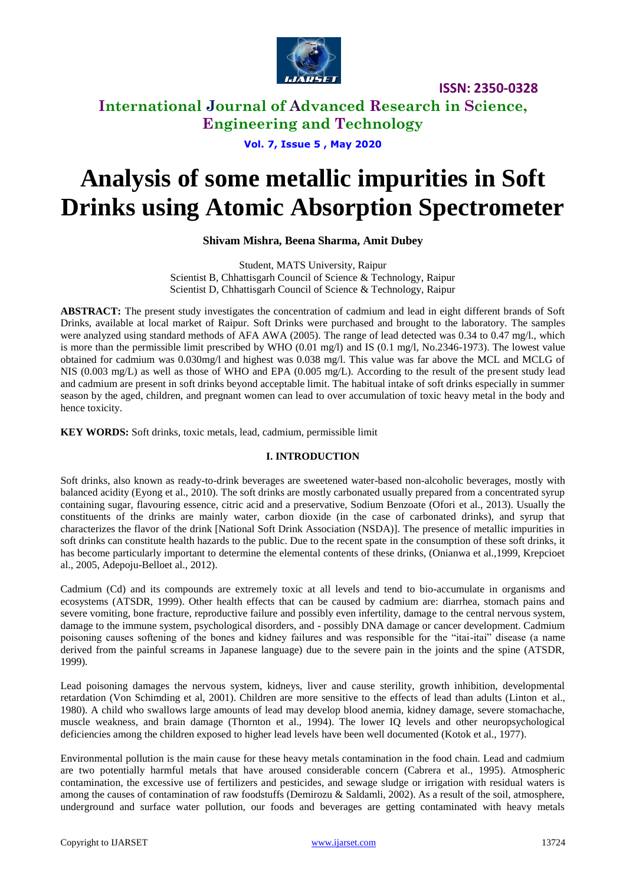

# **International Journal of Advanced Research in Science, Engineering and Technology**

**Vol. 7, Issue 5 , May 2020**

# **Analysis of some metallic impurities in Soft Drinks using Atomic Absorption Spectrometer**

**Shivam Mishra, Beena Sharma, Amit Dubey**

Student, MATS University, Raipur Scientist B, Chhattisgarh Council of Science & Technology, Raipur Scientist D, Chhattisgarh Council of Science & Technology, Raipur

**ABSTRACT:** The present study investigates the concentration of cadmium and lead in eight different brands of Soft Drinks, available at local market of Raipur. Soft Drinks were purchased and brought to the laboratory. The samples were analyzed using standard methods of AFA AWA (2005). The range of lead detected was 0.34 to 0.47 mg/l., which is more than the permissible limit prescribed by WHO  $(0.01 \text{ mg/l})$  and IS  $(0.1 \text{ mg/l}, \text{No.}2346-1973)$ . The lowest value obtained for cadmium was 0.030mg/l and highest was 0.038 mg/l. This value was far above the MCL and MCLG of NIS (0.003 mg/L) as well as those of WHO and EPA (0.005 mg/L). According to the result of the present study lead and cadmium are present in soft drinks beyond acceptable limit. The habitual intake of soft drinks especially in summer season by the aged, children, and pregnant women can lead to over accumulation of toxic heavy metal in the body and hence toxicity.

**KEY WORDS:** Soft drinks, toxic metals, lead, cadmium, permissible limit

### **I. INTRODUCTION**

Soft drinks, also known as ready-to-drink beverages are sweetened water-based non-alcoholic beverages, mostly with balanced acidity (Eyong et al., 2010). The soft drinks are mostly carbonated usually prepared from a concentrated syrup containing sugar, flavouring essence, citric acid and a preservative, Sodium Benzoate (Ofori et al., 2013). Usually the constituents of the drinks are mainly water, carbon dioxide (in the case of carbonated drinks), and syrup that characterizes the flavor of the drink [National Soft Drink Association (NSDA)]. The presence of metallic impurities in soft drinks can constitute health hazards to the public. Due to the recent spate in the consumption of these soft drinks, it has become particularly important to determine the elemental contents of these drinks, (Onianwa et al.,1999, Krepcioet al., 2005, Adepoju-Belloet al., 2012).

Cadmium (Cd) and its compounds are extremely toxic at all levels and tend to bio-accumulate in organisms and ecosystems (ATSDR, 1999). Other health effects that can be caused by cadmium are: diarrhea, stomach pains and severe vomiting, bone fracture, reproductive failure and possibly even infertility, damage to the central nervous system, damage to the immune system, psychological disorders, and - possibly DNA damage or cancer development. Cadmium poisoning causes softening of the bones and kidney failures and was responsible for the "itai-itai" disease (a name derived from the painful screams in Japanese language) due to the severe pain in the joints and the spine (ATSDR, 1999).

Lead poisoning damages the nervous system, kidneys, liver and cause sterility, growth inhibition, developmental retardation (Von Schimding et al, 2001). Children are more sensitive to the effects of lead than adults (Linton et al., 1980). A child who swallows large amounts of lead may develop blood anemia, kidney damage, severe stomachache, muscle weakness, and brain damage (Thornton et al., 1994). The lower IQ levels and other neuropsychological deficiencies among the children exposed to higher lead levels have been well documented (Kotok et al., 1977).

Environmental pollution is the main cause for these heavy metals contamination in the food chain. Lead and cadmium are two potentially harmful metals that have aroused considerable concern (Cabrera et al., 1995). Atmospheric contamination, the excessive use of fertilizers and pesticides, and sewage sludge or irrigation with residual waters is among the causes of contamination of raw foodstuffs (Demirozu & Saldamli, 2002). As a result of the soil, atmosphere, underground and surface water pollution, our foods and beverages are getting contaminated with heavy metals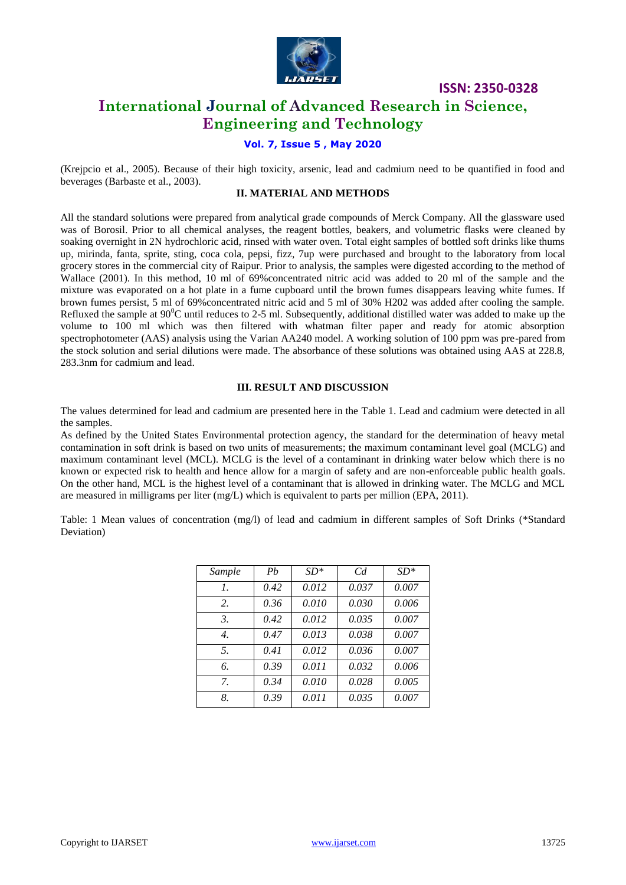

# **International Journal of Advanced Research in Science, Engineering and Technology**

## **Vol. 7, Issue 5 , May 2020**

(Krejpcio et al., 2005). Because of their high toxicity, arsenic, lead and cadmium need to be quantified in food and beverages (Barbaste et al., 2003).

#### **II. MATERIAL AND METHODS**

All the standard solutions were prepared from analytical grade compounds of Merck Company. All the glassware used was of Borosil. Prior to all chemical analyses, the reagent bottles, beakers, and volumetric flasks were cleaned by soaking overnight in 2N hydrochloric acid, rinsed with water oven. Total eight samples of bottled soft drinks like thums up, mirinda, fanta, sprite, sting, coca cola, pepsi, fizz, 7up were purchased and brought to the laboratory from local grocery stores in the commercial city of Raipur. Prior to analysis, the samples were digested according to the method of Wallace (2001). In this method, 10 ml of 69%concentrated nitric acid was added to 20 ml of the sample and the mixture was evaporated on a hot plate in a fume cupboard until the brown fumes disappears leaving white fumes. If brown fumes persist, 5 ml of 69%concentrated nitric acid and 5 ml of 30% H202 was added after cooling the sample. Refluxed the sample at  $90^{\circ}$ C until reduces to 2-5 ml. Subsequently, additional distilled water was added to make up the volume to 100 ml which was then filtered with whatman filter paper and ready for atomic absorption spectrophotometer (AAS) analysis using the Varian AA240 model. A working solution of 100 ppm was pre-pared from the stock solution and serial dilutions were made. The absorbance of these solutions was obtained using AAS at 228.8, 283.3nm for cadmium and lead.

#### **III. RESULT AND DISCUSSION**

The values determined for lead and cadmium are presented here in the Table 1. Lead and cadmium were detected in all the samples.

As defined by the United States Environmental protection agency, the standard for the determination of heavy metal contamination in soft drink is based on two units of measurements; the maximum contaminant level goal (MCLG) and maximum contaminant level (MCL). MCLG is the level of a contaminant in drinking water below which there is no known or expected risk to health and hence allow for a margin of safety and are non-enforceable public health goals. On the other hand, MCL is the highest level of a contaminant that is allowed in drinking water. The MCLG and MCL are measured in milligrams per liter (mg/L) which is equivalent to parts per million (EPA, 2011).

Table: 1 Mean values of concentration (mg/l) of lead and cadmium in different samples of Soft Drinks (\*Standard Deviation)

| Sample           | Ph   | $SD*$ | $C_d$ | $SD*$ |
|------------------|------|-------|-------|-------|
| $\mathcal{I}$ .  | 0.42 | 0.012 | 0.037 | 0.007 |
| 2.               | 0.36 | 0.010 | 0.030 | 0.006 |
| $\mathfrak{Z}$ . | 0.42 | 0.012 | 0.035 | 0.007 |
| $\overline{4}$ . | 0.47 | 0.013 | 0.038 | 0.007 |
| .5.              | 0.41 | 0.012 | 0.036 | 0.007 |
| 6.               | 0.39 | 0.011 | 0.032 | 0.006 |
| $\mathcal{I}$    | 0.34 | 0.010 | 0.028 | 0.005 |
| 8.               | 0.39 | 0.011 | 0.035 | 0.007 |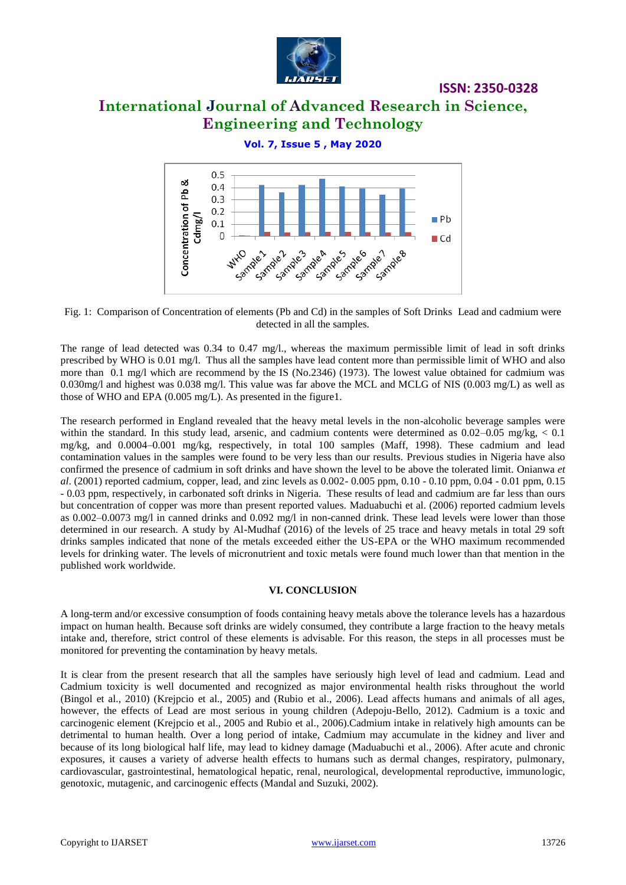

# **International Journal of Advanced Research in Science, Engineering and Technology**

## **Vol. 7, Issue 5 , May 2020**



Fig. 1: Comparison of Concentration of elements (Pb and Cd) in the samples of Soft Drinks Lead and cadmium were detected in all the samples.

The range of lead detected was 0.34 to 0.47 mg/l., whereas the maximum permissible limit of lead in soft drinks prescribed by WHO is 0.01 mg/l. Thus all the samples have lead content more than permissible limit of WHO and also more than 0.1 mg/l which are recommend by the IS (No.2346) (1973). The lowest value obtained for cadmium was 0.030mg/l and highest was 0.038 mg/l. This value was far above the MCL and MCLG of NIS (0.003 mg/L) as well as those of WHO and EPA (0.005 mg/L). As presented in the figure1.

The research performed in England revealed that the heavy metal levels in the non-alcoholic beverage samples were within the standard. In this study lead, arsenic, and cadmium contents were determined as  $0.02-0.05$  mg/kg,  $< 0.1$ mg/kg, and 0.0004–0.001 mg/kg, respectively, in total 100 samples (Maff, 1998). These cadmium and lead contamination values in the samples were found to be very less than our results. Previous studies in Nigeria have also confirmed the presence of cadmium in soft drinks and have shown the level to be above the tolerated limit. Onianwa *et al*. (2001) reported cadmium, copper, lead, and zinc levels as 0.002- 0.005 ppm, 0.10 - 0.10 ppm, 0.04 - 0.01 ppm, 0.15 - 0.03 ppm, respectively, in carbonated soft drinks in Nigeria. These results of lead and cadmium are far less than ours but concentration of copper was more than present reported values. Maduabuchi et al. (2006) reported cadmium levels as 0.002–0.0073 mg/l in canned drinks and 0.092 mg/l in non-canned drink. These lead levels were lower than those determined in our research. A study by Al-Mudhaf (2016) of the levels of 25 trace and heavy metals in total 29 soft drinks samples indicated that none of the metals exceeded either the US-EPA or the WHO maximum recommended levels for drinking water. The levels of micronutrient and toxic metals were found much lower than that mention in the published work worldwide.

#### **VI. CONCLUSION**

A long-term and/or excessive consumption of foods containing heavy metals above the tolerance levels has a hazardous impact on human health. Because soft drinks are widely consumed, they contribute a large fraction to the heavy metals intake and, therefore, strict control of these elements is advisable. For this reason, the steps in all processes must be monitored for preventing the contamination by heavy metals.

It is clear from the present research that all the samples have seriously high level of lead and cadmium. Lead and Cadmium toxicity is well documented and recognized as major environmental health risks throughout the world (Bingol et al., 2010) (Krejpcio et al., 2005) and (Rubio et al., 2006). Lead affects humans and animals of all ages, however, the effects of Lead are most serious in young children (Adepoju-Bello, 2012). Cadmium is a toxic and carcinogenic element (Krejpcio et al., 2005 and Rubio et al., 2006).Cadmium intake in relatively high amounts can be detrimental to human health. Over a long period of intake, Cadmium may accumulate in the kidney and liver and because of its long biological half life, may lead to kidney damage (Maduabuchi et al., 2006). After acute and chronic exposures, it causes a variety of adverse health effects to humans such as dermal changes, respiratory, pulmonary, cardiovascular, gastrointestinal, hematological hepatic, renal, neurological, developmental reproductive, immunologic, genotoxic, mutagenic, and carcinogenic effects (Mandal and Suzuki, 2002).